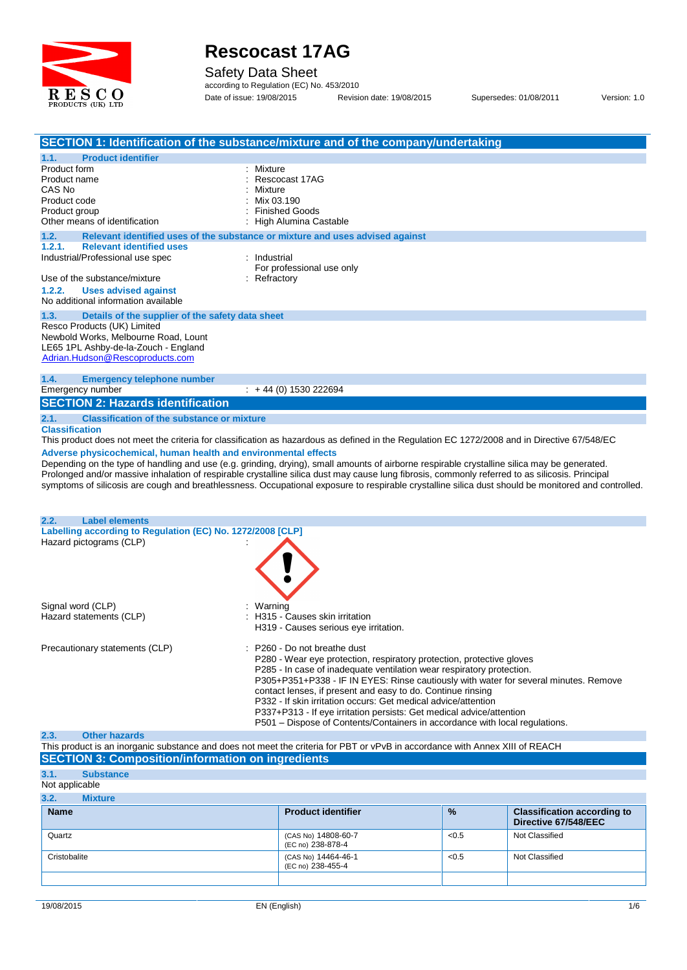

Safety Data Sheet

according to Regulation (EC) No. 453/2010 Date of issue: 19/08/2015 Revision date: 19/08/2015 Supersedes: 01/08/2011 Version: 1.0

| SECTION 1: Identification of the substance/mixture and of the company/undertaking                                                                   |              |                                                                                      |       |                                    |  |
|-----------------------------------------------------------------------------------------------------------------------------------------------------|--------------|--------------------------------------------------------------------------------------|-------|------------------------------------|--|
| <b>Product identifier</b><br>1.1.                                                                                                                   |              |                                                                                      |       |                                    |  |
| Product form                                                                                                                                        | : Mixture    |                                                                                      |       |                                    |  |
| Product name                                                                                                                                        |              | Rescocast 17AG                                                                       |       |                                    |  |
| CAS No                                                                                                                                              | Mixture      |                                                                                      |       |                                    |  |
| Product code                                                                                                                                        | Mix 03.190   |                                                                                      |       |                                    |  |
| Product group                                                                                                                                       |              | <b>Finished Goods</b>                                                                |       |                                    |  |
| Other means of identification                                                                                                                       |              | : High Alumina Castable                                                              |       |                                    |  |
| 1.2.<br>Relevant identified uses of the substance or mixture and uses advised against                                                               |              |                                                                                      |       |                                    |  |
| 1.2.1.<br><b>Relevant identified uses</b>                                                                                                           |              |                                                                                      |       |                                    |  |
| Industrial/Professional use spec                                                                                                                    | : Industrial |                                                                                      |       |                                    |  |
| Use of the substance/mixture                                                                                                                        | : Refractory | For professional use only                                                            |       |                                    |  |
| 1.2.2.<br><b>Uses advised against</b>                                                                                                               |              |                                                                                      |       |                                    |  |
| No additional information available                                                                                                                 |              |                                                                                      |       |                                    |  |
|                                                                                                                                                     |              |                                                                                      |       |                                    |  |
| 1.3.<br>Details of the supplier of the safety data sheet                                                                                            |              |                                                                                      |       |                                    |  |
| Resco Products (UK) Limited                                                                                                                         |              |                                                                                      |       |                                    |  |
| Newbold Works, Melbourne Road, Lount<br>LE65 1PL Ashby-de-la-Zouch - England                                                                        |              |                                                                                      |       |                                    |  |
| Adrian.Hudson@Rescoproducts.com                                                                                                                     |              |                                                                                      |       |                                    |  |
|                                                                                                                                                     |              |                                                                                      |       |                                    |  |
| 1.4.<br><b>Emergency telephone number</b>                                                                                                           |              |                                                                                      |       |                                    |  |
| Emergency number                                                                                                                                    |              | $: +44(0)$ 1530 222694                                                               |       |                                    |  |
| <b>SECTION 2: Hazards identification</b>                                                                                                            |              |                                                                                      |       |                                    |  |
|                                                                                                                                                     |              |                                                                                      |       |                                    |  |
| 2.1.<br><b>Classification of the substance or mixture</b>                                                                                           |              |                                                                                      |       |                                    |  |
| <b>Classification</b>                                                                                                                               |              |                                                                                      |       |                                    |  |
| This product does not meet the criteria for classification as hazardous as defined in the Regulation EC 1272/2008 and in Directive 67/548/EC        |              |                                                                                      |       |                                    |  |
| Adverse physicochemical, human health and environmental effects                                                                                     |              |                                                                                      |       |                                    |  |
| Depending on the type of handling and use (e.g. grinding, drying), small amounts of airborne respirable crystalline silica may be generated.        |              |                                                                                      |       |                                    |  |
| Prolonged and/or massive inhalation of respirable crystalline silica dust may cause lung fibrosis, commonly referred to as silicosis. Principal     |              |                                                                                      |       |                                    |  |
| symptoms of silicosis are cough and breathlessness. Occupational exposure to respirable crystalline silica dust should be monitored and controlled. |              |                                                                                      |       |                                    |  |
|                                                                                                                                                     |              |                                                                                      |       |                                    |  |
|                                                                                                                                                     |              |                                                                                      |       |                                    |  |
| <b>Label elements</b><br>2.2.                                                                                                                       |              |                                                                                      |       |                                    |  |
| Labelling according to Regulation (EC) No. 1272/2008 [CLP]                                                                                          |              |                                                                                      |       |                                    |  |
| Hazard pictograms (CLP)                                                                                                                             |              |                                                                                      |       |                                    |  |
|                                                                                                                                                     |              |                                                                                      |       |                                    |  |
|                                                                                                                                                     |              |                                                                                      |       |                                    |  |
|                                                                                                                                                     |              |                                                                                      |       |                                    |  |
|                                                                                                                                                     |              |                                                                                      |       |                                    |  |
| Signal word (CLP)                                                                                                                                   | Warning      |                                                                                      |       |                                    |  |
| Hazard statements (CLP)                                                                                                                             |              | : H315 - Causes skin irritation                                                      |       |                                    |  |
|                                                                                                                                                     |              | H319 - Causes serious eye irritation.                                                |       |                                    |  |
|                                                                                                                                                     |              |                                                                                      |       |                                    |  |
| Precautionary statements (CLP)                                                                                                                      |              | P260 - Do not breathe dust                                                           |       |                                    |  |
|                                                                                                                                                     |              | P280 - Wear eye protection, respiratory protection, protective gloves                |       |                                    |  |
|                                                                                                                                                     |              | P285 - In case of inadequate ventilation wear respiratory protection.                |       |                                    |  |
|                                                                                                                                                     |              | P305+P351+P338 - IF IN EYES: Rinse cautiously with water for several minutes. Remove |       |                                    |  |
|                                                                                                                                                     |              | contact lenses, if present and easy to do. Continue rinsing                          |       |                                    |  |
|                                                                                                                                                     |              | P332 - If skin irritation occurs: Get medical advice/attention                       |       |                                    |  |
|                                                                                                                                                     |              | P337+P313 - If eye irritation persists: Get medical advice/attention                 |       |                                    |  |
|                                                                                                                                                     |              | P501 – Dispose of Contents/Containers in accordance with local regulations.          |       |                                    |  |
| 2.3.<br><b>Other hazards</b>                                                                                                                        |              |                                                                                      |       |                                    |  |
| This product is an inorganic substance and does not meet the criteria for PBT or vPvB in accordance with Annex XIII of REACH                        |              |                                                                                      |       |                                    |  |
| <b>SECTION 3: Composition/information on ingredients</b>                                                                                            |              |                                                                                      |       |                                    |  |
|                                                                                                                                                     |              |                                                                                      |       |                                    |  |
| 3.1.<br><b>Substance</b>                                                                                                                            |              |                                                                                      |       |                                    |  |
| Not applicable                                                                                                                                      |              |                                                                                      |       |                                    |  |
| 3.2.<br><b>Mixture</b>                                                                                                                              |              |                                                                                      |       |                                    |  |
| <b>Name</b>                                                                                                                                         |              | <b>Product identifier</b>                                                            | %     | <b>Classification according to</b> |  |
|                                                                                                                                                     |              |                                                                                      |       | Directive 67/548/EEC               |  |
|                                                                                                                                                     |              |                                                                                      |       |                                    |  |
| Quartz                                                                                                                                              |              | (CAS No) 14808-60-7                                                                  | < 0.5 | Not Classified                     |  |

Cristobalite (CAS No) 14464-46-1 (EC no) 238-455-4 <0.5 Not Classified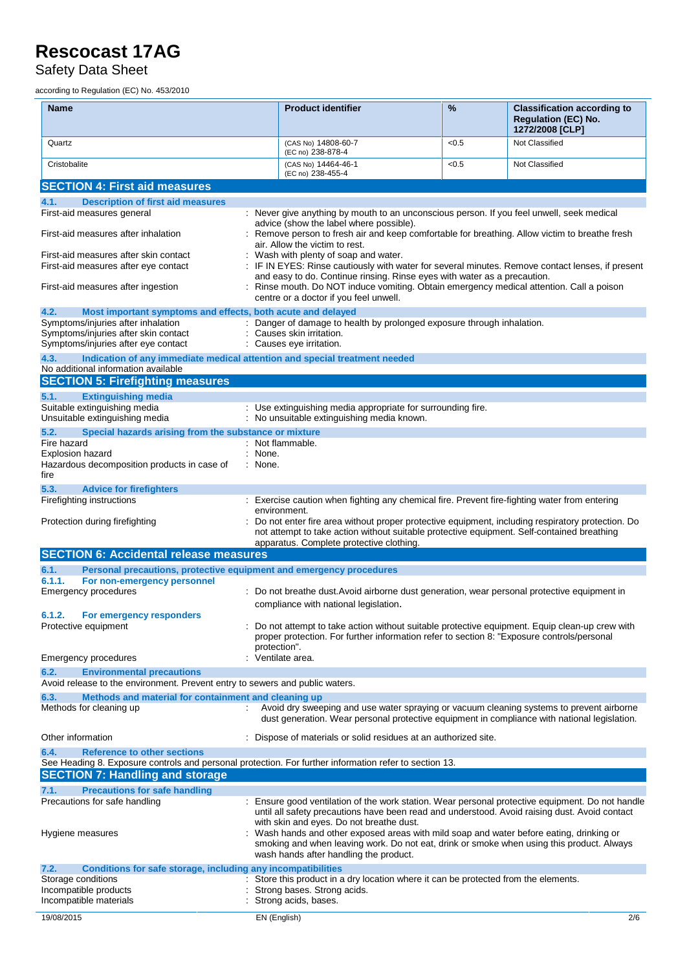Safety Data Sheet

according to Regulation (EC) No. 453/2010

| <b>Name</b>                                                                                            | <b>Product identifier</b>                                                                                                                                                                                                                  | %     | <b>Classification according to</b><br><b>Regulation (EC) No.</b><br>1272/2008 [CLP] |  |  |
|--------------------------------------------------------------------------------------------------------|--------------------------------------------------------------------------------------------------------------------------------------------------------------------------------------------------------------------------------------------|-------|-------------------------------------------------------------------------------------|--|--|
| Quartz                                                                                                 | (CAS No) 14808-60-7<br>(EC no) 238-878-4                                                                                                                                                                                                   | < 0.5 | Not Classified                                                                      |  |  |
| Cristobalite                                                                                           | (CAS No) 14464-46-1<br>(EC no) 238-455-4                                                                                                                                                                                                   | < 0.5 | Not Classified                                                                      |  |  |
| <b>SECTION 4: First aid measures</b>                                                                   |                                                                                                                                                                                                                                            |       |                                                                                     |  |  |
| 4.1.<br><b>Description of first aid measures</b>                                                       |                                                                                                                                                                                                                                            |       |                                                                                     |  |  |
| First-aid measures general                                                                             | : Never give anything by mouth to an unconscious person. If you feel unwell, seek medical                                                                                                                                                  |       |                                                                                     |  |  |
|                                                                                                        | advice (show the label where possible).                                                                                                                                                                                                    |       |                                                                                     |  |  |
| First-aid measures after inhalation                                                                    | : Remove person to fresh air and keep comfortable for breathing. Allow victim to breathe fresh                                                                                                                                             |       |                                                                                     |  |  |
|                                                                                                        | air. Allow the victim to rest.                                                                                                                                                                                                             |       |                                                                                     |  |  |
| First-aid measures after skin contact<br>First-aid measures after eye contact                          | : Wash with plenty of soap and water.<br>: IF IN EYES: Rinse cautiously with water for several minutes. Remove contact lenses, if present                                                                                                  |       |                                                                                     |  |  |
|                                                                                                        |                                                                                                                                                                                                                                            |       |                                                                                     |  |  |
| First-aid measures after ingestion                                                                     | and easy to do. Continue rinsing. Rinse eyes with water as a precaution.<br>: Rinse mouth. Do NOT induce vomiting. Obtain emergency medical attention. Call a poison<br>centre or a doctor if you feel unwell.                             |       |                                                                                     |  |  |
| 4.2.<br>Most important symptoms and effects, both acute and delayed                                    |                                                                                                                                                                                                                                            |       |                                                                                     |  |  |
| Symptoms/injuries after inhalation                                                                     | : Danger of damage to health by prolonged exposure through inhalation.                                                                                                                                                                     |       |                                                                                     |  |  |
| Symptoms/injuries after skin contact                                                                   | Causes skin irritation.                                                                                                                                                                                                                    |       |                                                                                     |  |  |
| Symptoms/injuries after eye contact                                                                    | : Causes eye irritation.                                                                                                                                                                                                                   |       |                                                                                     |  |  |
| 4.3.<br>Indication of any immediate medical attention and special treatment needed                     |                                                                                                                                                                                                                                            |       |                                                                                     |  |  |
| No additional information available                                                                    |                                                                                                                                                                                                                                            |       |                                                                                     |  |  |
| <b>SECTION 5: Firefighting measures</b>                                                                |                                                                                                                                                                                                                                            |       |                                                                                     |  |  |
| 5.1.<br><b>Extinguishing media</b>                                                                     |                                                                                                                                                                                                                                            |       |                                                                                     |  |  |
| Suitable extinguishing media                                                                           | : Use extinguishing media appropriate for surrounding fire.                                                                                                                                                                                |       |                                                                                     |  |  |
| Unsuitable extinguishing media                                                                         | : No unsuitable extinguishing media known.                                                                                                                                                                                                 |       |                                                                                     |  |  |
| 5.2.<br>Special hazards arising from the substance or mixture                                          |                                                                                                                                                                                                                                            |       |                                                                                     |  |  |
| Fire hazard                                                                                            | : Not flammable.                                                                                                                                                                                                                           |       |                                                                                     |  |  |
| Explosion hazard                                                                                       | : None.                                                                                                                                                                                                                                    |       |                                                                                     |  |  |
| Hazardous decomposition products in case of<br>fire                                                    | : None.                                                                                                                                                                                                                                    |       |                                                                                     |  |  |
| 5.3.<br><b>Advice for firefighters</b>                                                                 |                                                                                                                                                                                                                                            |       |                                                                                     |  |  |
| Firefighting instructions                                                                              | : Exercise caution when fighting any chemical fire. Prevent fire-fighting water from entering                                                                                                                                              |       |                                                                                     |  |  |
|                                                                                                        | environment.                                                                                                                                                                                                                               |       |                                                                                     |  |  |
| Protection during firefighting                                                                         | Do not enter fire area without proper protective equipment, including respiratory protection. Do<br>not attempt to take action without suitable protective equipment. Self-contained breathing<br>apparatus. Complete protective clothing. |       |                                                                                     |  |  |
| <b>SECTION 6: Accidental release measures</b>                                                          |                                                                                                                                                                                                                                            |       |                                                                                     |  |  |
| 6.1.<br>Personal precautions, protective equipment and emergency procedures                            |                                                                                                                                                                                                                                            |       |                                                                                     |  |  |
| For non-emergency personnel<br>6.1.1.                                                                  |                                                                                                                                                                                                                                            |       |                                                                                     |  |  |
| <b>Emergency procedures</b>                                                                            | : Do not breathe dust. Avoid airborne dust generation, wear personal protective equipment in                                                                                                                                               |       |                                                                                     |  |  |
|                                                                                                        | compliance with national legislation.                                                                                                                                                                                                      |       |                                                                                     |  |  |
| 6.1.2.<br>For emergency responders                                                                     |                                                                                                                                                                                                                                            |       |                                                                                     |  |  |
| Protective equipment                                                                                   | Do not attempt to take action without suitable protective equipment. Equip clean-up crew with                                                                                                                                              |       |                                                                                     |  |  |
|                                                                                                        | proper protection. For further information refer to section 8: "Exposure controls/personal                                                                                                                                                 |       |                                                                                     |  |  |
|                                                                                                        | protection".                                                                                                                                                                                                                               |       |                                                                                     |  |  |
| <b>Emergency procedures</b>                                                                            | Ventilate area.                                                                                                                                                                                                                            |       |                                                                                     |  |  |
| 6.2.<br><b>Environmental precautions</b>                                                               |                                                                                                                                                                                                                                            |       |                                                                                     |  |  |
| Avoid release to the environment. Prevent entry to sewers and public waters.                           |                                                                                                                                                                                                                                            |       |                                                                                     |  |  |
| Methods and material for containment and cleaning up<br>6.3.                                           |                                                                                                                                                                                                                                            |       |                                                                                     |  |  |
| Methods for cleaning up                                                                                | Avoid dry sweeping and use water spraying or vacuum cleaning systems to prevent airborne<br>dust generation. Wear personal protective equipment in compliance with national legislation.                                                   |       |                                                                                     |  |  |
| Other information                                                                                      | : Dispose of materials or solid residues at an authorized site.                                                                                                                                                                            |       |                                                                                     |  |  |
| <b>Reference to other sections</b><br>6.4.                                                             |                                                                                                                                                                                                                                            |       |                                                                                     |  |  |
| See Heading 8. Exposure controls and personal protection. For further information refer to section 13. |                                                                                                                                                                                                                                            |       |                                                                                     |  |  |
| <b>SECTION 7: Handling and storage</b>                                                                 |                                                                                                                                                                                                                                            |       |                                                                                     |  |  |
| 7.1.<br><b>Precautions for safe handling</b><br>Precautions for safe handling                          | : Ensure good ventilation of the work station. Wear personal protective equipment. Do not handle                                                                                                                                           |       |                                                                                     |  |  |
|                                                                                                        | until all safety precautions have been read and understood. Avoid raising dust. Avoid contact                                                                                                                                              |       |                                                                                     |  |  |
|                                                                                                        | with skin and eyes. Do not breathe dust.                                                                                                                                                                                                   |       |                                                                                     |  |  |
| Hygiene measures                                                                                       | Wash hands and other exposed areas with mild soap and water before eating, drinking or                                                                                                                                                     |       |                                                                                     |  |  |
|                                                                                                        | smoking and when leaving work. Do not eat, drink or smoke when using this product. Always<br>wash hands after handling the product.                                                                                                        |       |                                                                                     |  |  |
| Conditions for safe storage, including any incompatibilities<br>7.2.                                   |                                                                                                                                                                                                                                            |       |                                                                                     |  |  |
| Storage conditions                                                                                     | Store this product in a dry location where it can be protected from the elements.                                                                                                                                                          |       |                                                                                     |  |  |
| Incompatible products                                                                                  | Strong bases. Strong acids.                                                                                                                                                                                                                |       |                                                                                     |  |  |
| Incompatible materials                                                                                 | Strong acids, bases.                                                                                                                                                                                                                       |       |                                                                                     |  |  |
| 19/08/2015                                                                                             | EN (English)                                                                                                                                                                                                                               |       | 2/6                                                                                 |  |  |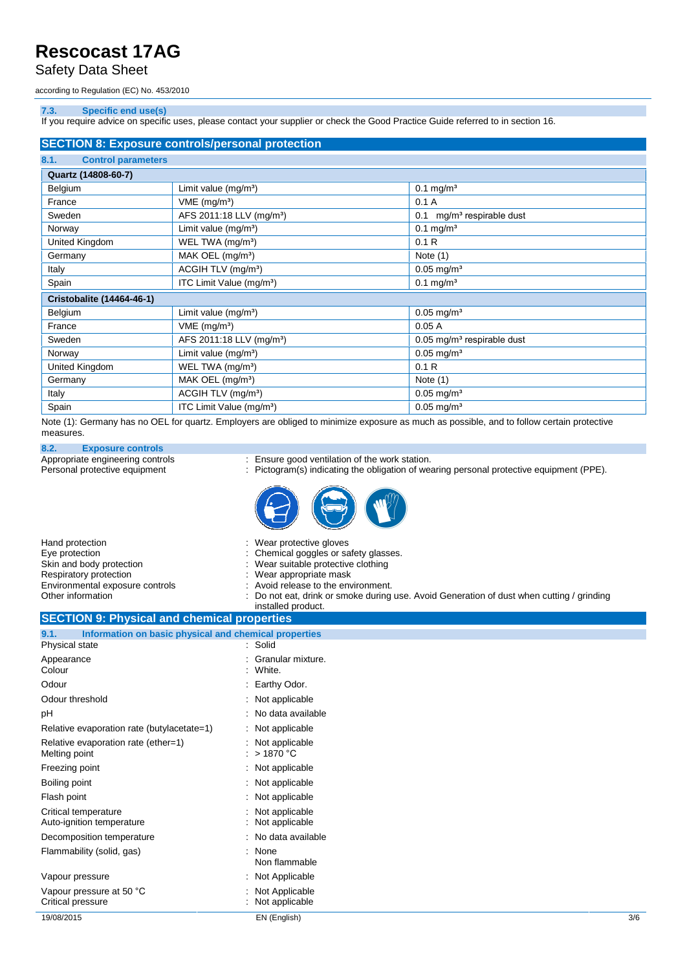Safety Data Sheet

according to Regulation (EC) No. 453/2010

#### **7.3. Specific end use(s)**

If you require advice on specific uses, please contact your supplier or check the Good Practice Guide referred to in section 16.

| <b>SECTION 8: Exposure controls/personal protection</b> |                                      |                                          |  |  |  |  |
|---------------------------------------------------------|--------------------------------------|------------------------------------------|--|--|--|--|
| <b>Control parameters</b><br>8.1.                       |                                      |                                          |  |  |  |  |
| Quartz (14808-60-7)                                     |                                      |                                          |  |  |  |  |
| Belgium                                                 | Limit value $(mg/m3)$                | $0.1$ mg/m <sup>3</sup>                  |  |  |  |  |
| France                                                  | $VME$ (mg/m <sup>3</sup> )           | 0.1A                                     |  |  |  |  |
| Sweden                                                  | AFS 2011:18 LLV (mg/m <sup>3</sup> ) | mg/m <sup>3</sup> respirable dust<br>0.1 |  |  |  |  |
| Norway                                                  | Limit value (mg/m <sup>3</sup> )     | $0.1$ mg/m <sup>3</sup>                  |  |  |  |  |
| United Kingdom                                          | WEL TWA (mg/m <sup>3</sup> )         | 0.1R                                     |  |  |  |  |
| Germany                                                 | MAK OEL (mg/m <sup>3</sup> )         | Note $(1)$                               |  |  |  |  |
| Italy                                                   | ACGIH TLV (mg/m <sup>3</sup> )       | $0.05$ mg/m <sup>3</sup>                 |  |  |  |  |
| Spain                                                   | ITC Limit Value (mg/m <sup>3</sup> ) | $0.1 \text{ mg/m}^3$                     |  |  |  |  |
| <b>Cristobalite (14464-46-1)</b>                        |                                      |                                          |  |  |  |  |
| Belgium                                                 | Limit value $(mg/m3)$                | $0.05$ mg/m <sup>3</sup>                 |  |  |  |  |
| France                                                  | $VME$ (mg/m <sup>3</sup> )           | 0.05A                                    |  |  |  |  |
| Sweden                                                  | AFS 2011:18 LLV (mg/m <sup>3</sup> ) | $0.05$ mg/m <sup>3</sup> respirable dust |  |  |  |  |
| Norway                                                  | Limit value $(mg/m3)$                | $0.05$ mg/m <sup>3</sup>                 |  |  |  |  |
| United Kingdom                                          | WEL TWA (mg/m <sup>3</sup> )         | 0.1 R                                    |  |  |  |  |
| Germany                                                 | MAK OEL $(mg/m3)$                    | Note $(1)$                               |  |  |  |  |
| Italy                                                   | ACGIH TLV (mg/m <sup>3</sup> )       | $0.05 \,\mathrm{mg/m^3}$                 |  |  |  |  |
| Spain                                                   | ITC Limit Value (mg/m <sup>3</sup> ) | $0.05 \text{ mg/m}^3$                    |  |  |  |  |

Note (1): Germany has no OEL for quartz. Employers are obliged to minimize exposure as much as possible, and to follow certain protective measures.

#### **8.2. Exposure controls**

Appropriate engineering controls : Ensure good ventilation of the work station.

Personal protective equipment : Pictogram(s) indicating the obligation of wearing personal protective equipment (PPE).



| Hand protection                                    | : Wear protective gloves                                                                  |
|----------------------------------------------------|-------------------------------------------------------------------------------------------|
| Eye protection                                     | : Chemical goggles or safety glasses.                                                     |
| Skin and body protection                           | : Wear suitable protective clothing                                                       |
| Respiratory protection                             | : Wear appropriate mask                                                                   |
| Environmental exposure controls                    | : Avoid release to the environment.                                                       |
| Other information                                  | : Do not eat, drink or smoke during use. Avoid Generation of dust when cutting / grinding |
|                                                    | installed product.                                                                        |
| <b>CECTION 0. Dhugical and shamical proportion</b> |                                                                                           |

#### **SECTION 9: Physical and chemical properties**

| Information on basic physical and chemical properties<br>9.1. |                                   |     |
|---------------------------------------------------------------|-----------------------------------|-----|
| Physical state                                                | : Solid                           |     |
| Appearance<br>Colour                                          | Granular mixture.<br>White.       |     |
| Odour                                                         | Earthy Odor.                      |     |
| Odour threshold                                               | : Not applicable                  |     |
| рH                                                            | : No data available               |     |
| Relative evaporation rate (butylacetate=1)                    | : Not applicable                  |     |
| Relative evaporation rate (ether=1)<br>Melting point          | : Not applicable<br>: $>$ 1870 °C |     |
| Freezing point                                                | : Not applicable                  |     |
| Boiling point                                                 | : Not applicable                  |     |
| Flash point                                                   | Not applicable                    |     |
| Critical temperature<br>Auto-ignition temperature             | Not applicable<br>Not applicable  |     |
| Decomposition temperature                                     | : No data available               |     |
| Flammability (solid, gas)                                     | None<br>٠<br>Non flammable        |     |
| Vapour pressure                                               | : Not Applicable                  |     |
| Vapour pressure at 50 °C<br>Critical pressure                 | Not Applicable<br>Not applicable  |     |
| 19/08/2015                                                    | EN (English)                      | 3/6 |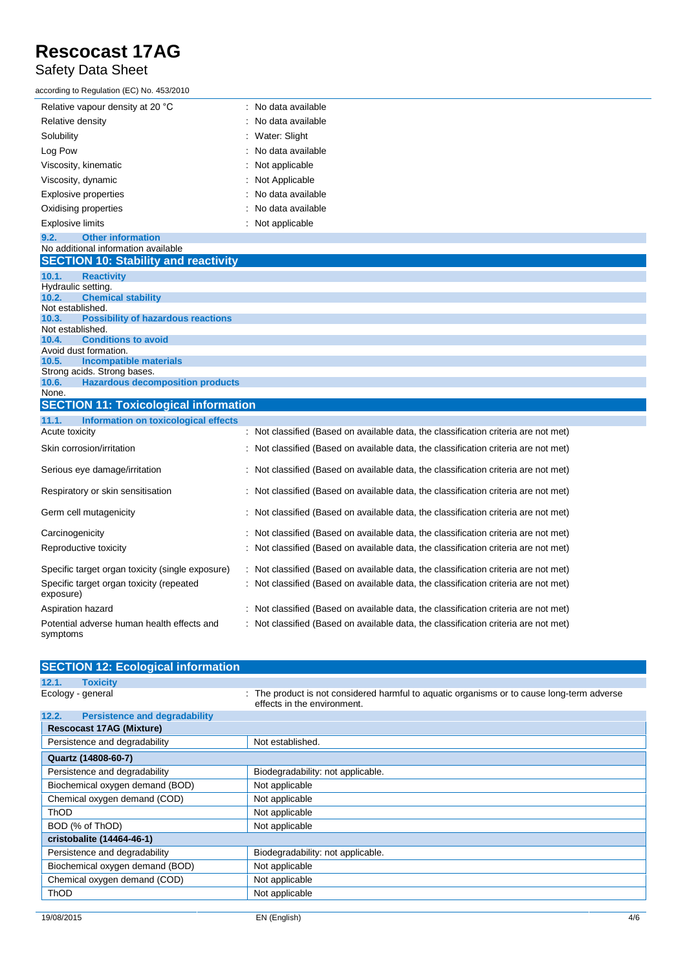#### Safety Data Sheet

| according to Regulation (EC) No. 453/2010 |                     |
|-------------------------------------------|---------------------|
| Relative vapour density at 20 °C          | : No data available |
| Relative density                          | : No data available |
| Solubility                                | : Water: Slight     |
| Log Pow                                   | : No data available |
| Viscosity, kinematic                      | : Not applicable    |
| Viscosity, dynamic                        | : Not Applicable    |
| Explosive properties                      | : No data available |
| Oxidising properties                      | : No data available |
| <b>Explosive limits</b>                   | : Not applicable    |

#### **9.2. Other information** No additional information available

|  |  | <b>SECTION 10: Stability and reactivity</b> |  |
|--|--|---------------------------------------------|--|
|  |  |                                             |  |
|  |  |                                             |  |

| 10.1.              | <b>Reactivity</b>                            |                                                                                     |
|--------------------|----------------------------------------------|-------------------------------------------------------------------------------------|
| Hydraulic setting. |                                              |                                                                                     |
| 10.2.              | <b>Chemical stability</b>                    |                                                                                     |
| Not established.   |                                              |                                                                                     |
| 10.3.              | <b>Possibility of hazardous reactions</b>    |                                                                                     |
| Not established.   |                                              |                                                                                     |
| 10.4.              | <b>Conditions to avoid</b>                   |                                                                                     |
|                    | Avoid dust formation.                        |                                                                                     |
| 10.5.              | Incompatible materials                       |                                                                                     |
|                    | Strong acids. Strong bases.                  |                                                                                     |
| 10.6.              | <b>Hazardous decomposition products</b>      |                                                                                     |
| None.              |                                              |                                                                                     |
|                    | <b>SECTION 11: Toxicological information</b> |                                                                                     |
| 11.1.              | Information on toxicological effects         |                                                                                     |
| Acute toxicity     |                                              | : Not classified (Based on available data, the classification criteria are not met) |
|                    | Skin corrosion/irritation                    | : Not classified (Based on available data, the classification criteria are not met) |
|                    | Serious eye damage/irritation                | : Not classified (Based on available data, the classification criteria are not met) |

| Respiratory or skin sensitisation                      | : Not classified (Based on available data, the classification criteria are not met) |
|--------------------------------------------------------|-------------------------------------------------------------------------------------|
| Germ cell mutagenicity                                 | : Not classified (Based on available data, the classification criteria are not met) |
| Carcinogenicity                                        | : Not classified (Based on available data, the classification criteria are not met) |
| Reproductive toxicity                                  | : Not classified (Based on available data, the classification criteria are not met) |
| Specific target organ toxicity (single exposure)       | : Not classified (Based on available data, the classification criteria are not met) |
| Specific target organ toxicity (repeated<br>exposure)  | : Not classified (Based on available data, the classification criteria are not met) |
| Aspiration hazard                                      | : Not classified (Based on available data, the classification criteria are not met) |
| Potential adverse human health effects and<br>symptoms | : Not classified (Based on available data, the classification criteria are not met) |

| <b>SECTION 12: Ecological information</b>     |                                                                                                                           |
|-----------------------------------------------|---------------------------------------------------------------------------------------------------------------------------|
| <b>Toxicity</b><br>12.1.                      |                                                                                                                           |
| Ecology - general                             | : The product is not considered harmful to aquatic organisms or to cause long-term adverse<br>effects in the environment. |
| 12.2.<br><b>Persistence and degradability</b> |                                                                                                                           |
| <b>Rescocast 17AG (Mixture)</b>               |                                                                                                                           |
| Persistence and degradability                 | Not established.                                                                                                          |
| Quartz (14808-60-7)                           |                                                                                                                           |
| Persistence and degradability                 | Biodegradability: not applicable.                                                                                         |
| Biochemical oxygen demand (BOD)               | Not applicable                                                                                                            |
| Chemical oxygen demand (COD)                  | Not applicable                                                                                                            |
| <b>ThOD</b>                                   | Not applicable                                                                                                            |
| BOD (% of ThOD)                               | Not applicable                                                                                                            |
| cristobalite (14464-46-1)                     |                                                                                                                           |
| Persistence and degradability                 | Biodegradability: not applicable.                                                                                         |
| Biochemical oxygen demand (BOD)               | Not applicable                                                                                                            |
| Chemical oxygen demand (COD)                  | Not applicable                                                                                                            |
| <b>ThOD</b>                                   | Not applicable                                                                                                            |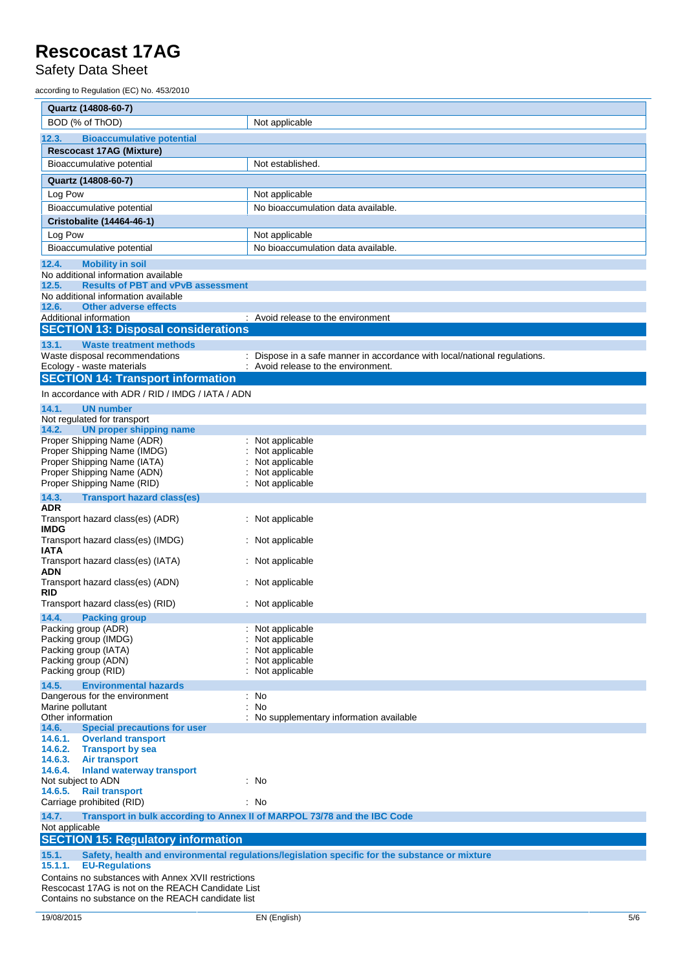Safety Data Sheet

according to Regulation (EC) No. 453/2010

| Quartz (14808-60-7)                                                                                 |                                                                                                |
|-----------------------------------------------------------------------------------------------------|------------------------------------------------------------------------------------------------|
| BOD (% of ThOD)                                                                                     | Not applicable                                                                                 |
| 12.3.<br><b>Bioaccumulative potential</b>                                                           |                                                                                                |
| <b>Rescocast 17AG (Mixture)</b>                                                                     |                                                                                                |
| Bioaccumulative potential                                                                           | Not established.                                                                               |
| Quartz (14808-60-7)                                                                                 |                                                                                                |
| Log Pow                                                                                             | Not applicable                                                                                 |
| Bioaccumulative potential                                                                           | No bioaccumulation data available.                                                             |
| Cristobalite (14464-46-1)                                                                           |                                                                                                |
| Log Pow                                                                                             | Not applicable                                                                                 |
| Bioaccumulative potential                                                                           | No bioaccumulation data available.                                                             |
| 12.4.<br><b>Mobility in soil</b>                                                                    |                                                                                                |
| No additional information available                                                                 |                                                                                                |
| 12.5.<br><b>Results of PBT and vPvB assessment</b>                                                  |                                                                                                |
| No additional information available<br><b>Other adverse effects</b><br>12.6.                        |                                                                                                |
| Additional information                                                                              | : Avoid release to the environment                                                             |
| <b>SECTION 13: Disposal considerations</b>                                                          |                                                                                                |
| 13.1.<br><b>Waste treatment methods</b>                                                             |                                                                                                |
| Waste disposal recommendations                                                                      | Dispose in a safe manner in accordance with local/national regulations.                        |
| Ecology - waste materials                                                                           | : Avoid release to the environment.                                                            |
| <b>SECTION 14: Transport information</b>                                                            |                                                                                                |
| In accordance with ADR / RID / IMDG / IATA / ADN                                                    |                                                                                                |
| 14.1.<br><b>UN number</b><br>Not regulated for transport                                            |                                                                                                |
| 14.2.<br><b>UN proper shipping name</b>                                                             |                                                                                                |
| Proper Shipping Name (ADR)                                                                          | Not applicable                                                                                 |
| Proper Shipping Name (IMDG)                                                                         | Not applicable                                                                                 |
| Proper Shipping Name (IATA)<br>Proper Shipping Name (ADN)                                           | Not applicable<br>Not applicable                                                               |
| Proper Shipping Name (RID)                                                                          | Not applicable                                                                                 |
| 14.3.<br><b>Transport hazard class(es)</b>                                                          |                                                                                                |
| ADR                                                                                                 |                                                                                                |
| Transport hazard class(es) (ADR)                                                                    | Not applicable                                                                                 |
| <b>IMDG</b><br>Transport hazard class(es) (IMDG)                                                    | Not applicable                                                                                 |
| IATA                                                                                                |                                                                                                |
| Transport hazard class(es) (IATA)<br>ADN                                                            | Not applicable                                                                                 |
| Transport hazard class(es) (ADN)<br>RID                                                             | Not applicable                                                                                 |
| Transport hazard class(es) (RID)                                                                    | Not applicable                                                                                 |
| 14.4.<br><b>Packing group</b>                                                                       |                                                                                                |
| Packing group (ADR)                                                                                 | Not applicable                                                                                 |
| Packing group (IMDG)                                                                                | Not applicable                                                                                 |
| Packing group (IATA)                                                                                | Not applicable                                                                                 |
| Packing group (ADN)<br>Packing group (RID)                                                          | Not applicable<br>Not applicable                                                               |
|                                                                                                     |                                                                                                |
| 14.5.<br><b>Environmental hazards</b><br>Dangerous for the environment                              | : No                                                                                           |
| Marine pollutant                                                                                    | <b>No</b>                                                                                      |
| Other information                                                                                   | No supplementary information available                                                         |
| 14.6.<br><b>Special precautions for user</b>                                                        |                                                                                                |
| 14.6.1.<br><b>Overland transport</b><br><b>Transport by sea</b>                                     |                                                                                                |
| 14.6.2.<br>14.6.3.<br>Air transport                                                                 |                                                                                                |
| 14.6.4.<br><b>Inland waterway transport</b>                                                         |                                                                                                |
| Not subject to ADN                                                                                  | : No                                                                                           |
| 14.6.5.<br><b>Rail transport</b>                                                                    |                                                                                                |
| Carriage prohibited (RID)                                                                           | : No                                                                                           |
| 14.7.<br>Transport in bulk according to Annex II of MARPOL 73/78 and the IBC Code<br>Not applicable |                                                                                                |
| <b>SECTION 15: Regulatory information</b>                                                           |                                                                                                |
| 15.1.                                                                                               | Safety, health and environmental regulations/legislation specific for the substance or mixture |
| <b>EU-Regulations</b><br>15.1.1.                                                                    |                                                                                                |
| Contains no substances with Annex XVII restrictions                                                 |                                                                                                |

Rescocast 17AG is not on the REACH Candidate List Contains no substance on the REACH candidate list